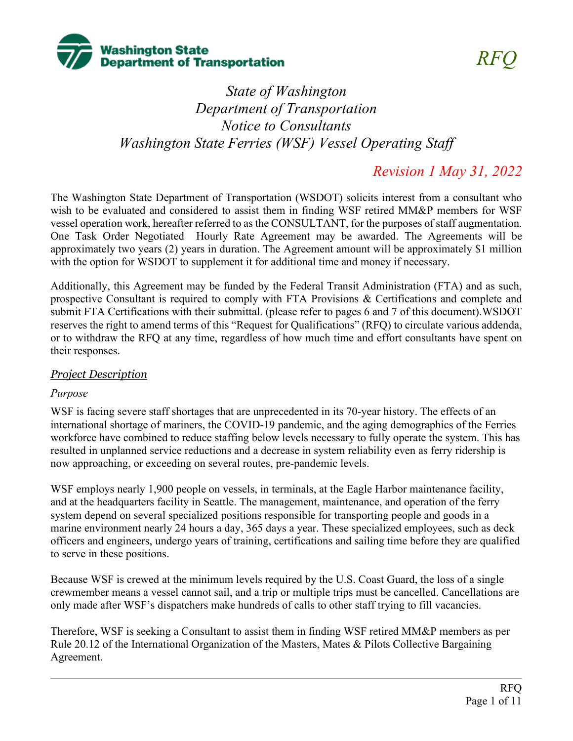

# *State of Washington Department of Transportation Notice to Consultants Washington State Ferries (WSF) Vessel Operating Staff*

# *Revision 1 May 31, 2022*

The Washington State Department of Transportation (WSDOT) solicits interest from a consultant who wish to be evaluated and considered to assist them in finding WSF retired MM&P members for WSF vessel operation work, hereafter referred to as the CONSULTANT, for the purposes of staff augmentation. One Task Order Negotiated Hourly Rate Agreement may be awarded. The Agreements will be approximately two years (2) years in duration. The Agreement amount will be approximately \$1 million with the option for WSDOT to supplement it for additional time and money if necessary.

Additionally, this Agreement may be funded by the Federal Transit Administration (FTA) and as such, prospective Consultant is required to comply with FTA Provisions & Certifications and complete and submit FTA Certifications with their submittal. (please refer to pages 6 and 7 of this document).WSDOT reserves the right to amend terms of this "Request for Qualifications" (RFQ) to circulate various addenda, or to withdraw the RFQ at any time, regardless of how much time and effort consultants have spent on their responses.

# *Project Description*

# *Purpose*

WSF is facing severe staff shortages that are unprecedented in its 70-year history. The effects of an international shortage of mariners, the COVID-19 pandemic, and the aging demographics of the Ferries workforce have combined to reduce staffing below levels necessary to fully operate the system. This has resulted in unplanned service reductions and a decrease in system reliability even as ferry ridership is now approaching, or exceeding on several routes, pre-pandemic levels.

WSF employs nearly 1,900 people on vessels, in terminals, at the Eagle Harbor maintenance facility, and at the headquarters facility in Seattle. The management, maintenance, and operation of the ferry system depend on several specialized positions responsible for transporting people and goods in a marine environment nearly 24 hours a day, 365 days a year. These specialized employees, such as deck officers and engineers, undergo years of training, certifications and sailing time before they are qualified to serve in these positions.

Because WSF is crewed at the minimum levels required by the U.S. Coast Guard, the loss of a single crewmember means a vessel cannot sail, and a trip or multiple trips must be cancelled. Cancellations are only made after WSF's dispatchers make hundreds of calls to other staff trying to fill vacancies.

Therefore, WSF is seeking a Consultant to assist them in finding WSF retired MM&P members as per Rule 20.12 of the International Organization of the Masters, Mates & Pilots Collective Bargaining Agreement.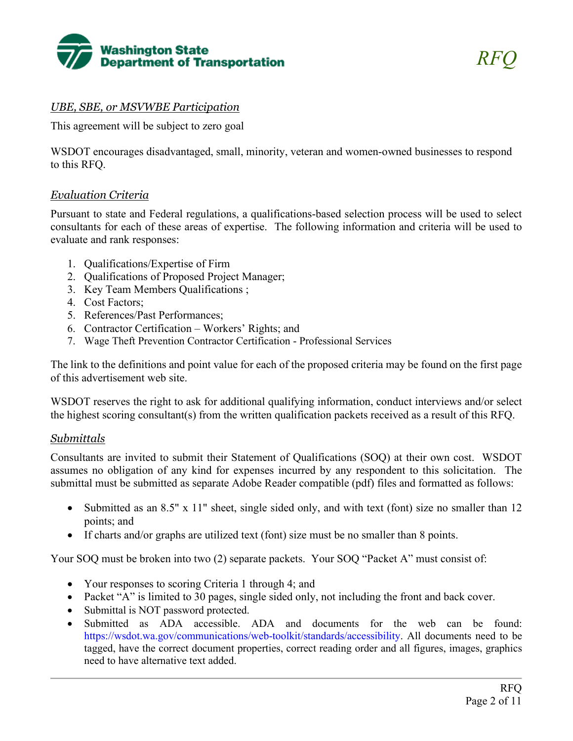

# *UBE, SBE, or MSVWBE Participation*

This agreement will be subject to zero goal

WSDOT encourages disadvantaged, small, minority, veteran and women-owned businesses to respond to this RFQ.

#### *Evaluation Criteria*

Pursuant to state and Federal regulations, a qualifications-based selection process will be used to select consultants for each of these areas of expertise. The following information and criteria will be used to evaluate and rank responses:

- 1. Qualifications/Expertise of Firm
- 2. Qualifications of Proposed Project Manager;
- 3. Key Team Members Qualifications ;
- 4. Cost Factors;
- 5. References/Past Performances;
- 6. Contractor Certification Workers' Rights; and
- 7. Wage Theft Prevention Contractor Certification Professional Services

The link to the definitions and point value for each of the proposed criteria may be found on the first page of this advertisement web site.

WSDOT reserves the right to ask for additional qualifying information, conduct interviews and/or select the highest scoring consultant(s) from the written qualification packets received as a result of this RFQ.

# *Submittals*

Consultants are invited to submit their Statement of Qualifications (SOQ) at their own cost. WSDOT assumes no obligation of any kind for expenses incurred by any respondent to this solicitation. The submittal must be submitted as separate Adobe Reader compatible (pdf) files and formatted as follows:

- Submitted as an 8.5" x 11" sheet, single sided only, and with text (font) size no smaller than 12 points; and
- If charts and/or graphs are utilized text (font) size must be no smaller than 8 points.

Your SOQ must be broken into two (2) separate packets. Your SOQ "Packet A" must consist of:

- Your responses to scoring Criteria 1 through 4; and
- Packet "A" is limited to 30 pages, single sided only, not including the front and back cover.
- Submittal is NOT password protected.
- Submitted as ADA accessible. ADA and documents for the web can be found: https://wsdot.wa.gov/communications/web-toolkit/standards/accessibility. All documents need to be tagged, have the correct document properties, correct reading order and all figures, images, graphics need to have alternative text added.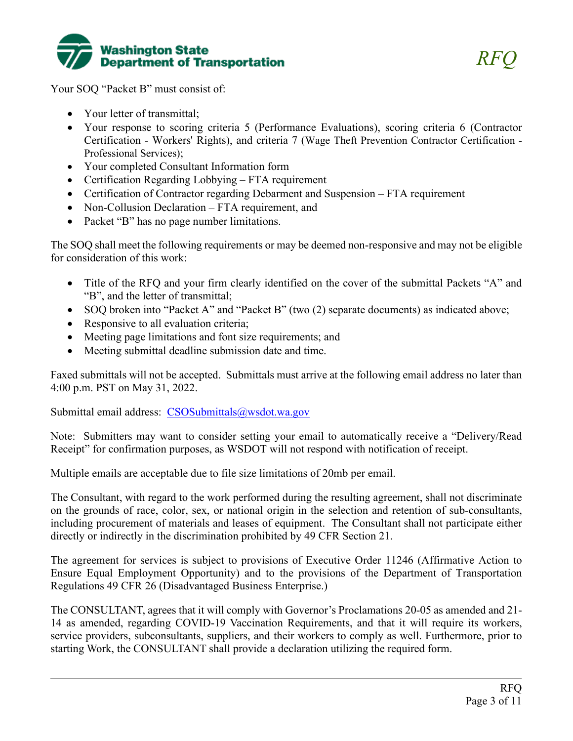

Your SOQ "Packet B" must consist of:

- Your letter of transmittal;
- Your response to scoring criteria 5 (Performance Evaluations), scoring criteria 6 (Contractor Certification - Workers' Rights), and criteria 7 (Wage Theft Prevention Contractor Certification - Professional Services);
- Your completed Consultant Information form
- Certification Regarding Lobbying FTA requirement
- Certification of Contractor regarding Debarment and Suspension FTA requirement
- Non-Collusion Declaration FTA requirement, and
- Packet "B" has no page number limitations.

The SOQ shall meet the following requirements or may be deemed non-responsive and may not be eligible for consideration of this work:

- Title of the RFQ and your firm clearly identified on the cover of the submittal Packets "A" and "B", and the letter of transmittal;
- SOQ broken into "Packet A" and "Packet B" (two (2) separate documents) as indicated above;
- Responsive to all evaluation criteria;
- Meeting page limitations and font size requirements; and
- Meeting submittal deadline submission date and time.

Faxed submittals will not be accepted. Submittals must arrive at the following email address no later than 4:00 p.m. PST on May 31, 2022.

Submittal email address: [CSOSubmittals@wsdot.wa.gov](mailto:CSOSubmittals@wsdot.wa.gov)

Note: Submitters may want to consider setting your email to automatically receive a "Delivery/Read Receipt" for confirmation purposes, as WSDOT will not respond with notification of receipt.

Multiple emails are acceptable due to file size limitations of 20mb per email.

The Consultant, with regard to the work performed during the resulting agreement, shall not discriminate on the grounds of race, color, sex, or national origin in the selection and retention of sub-consultants, including procurement of materials and leases of equipment. The Consultant shall not participate either directly or indirectly in the discrimination prohibited by 49 CFR Section 21.

The agreement for services is subject to provisions of Executive Order 11246 (Affirmative Action to Ensure Equal Employment Opportunity) and to the provisions of the Department of Transportation Regulations 49 CFR 26 (Disadvantaged Business Enterprise.)

The CONSULTANT, agrees that it will comply with Governor's Proclamations 20-05 as amended and 21- 14 as amended, regarding COVID-19 Vaccination Requirements, and that it will require its workers, service providers, subconsultants, suppliers, and their workers to comply as well. Furthermore, prior to starting Work, the CONSULTANT shall provide a declaration utilizing the required form.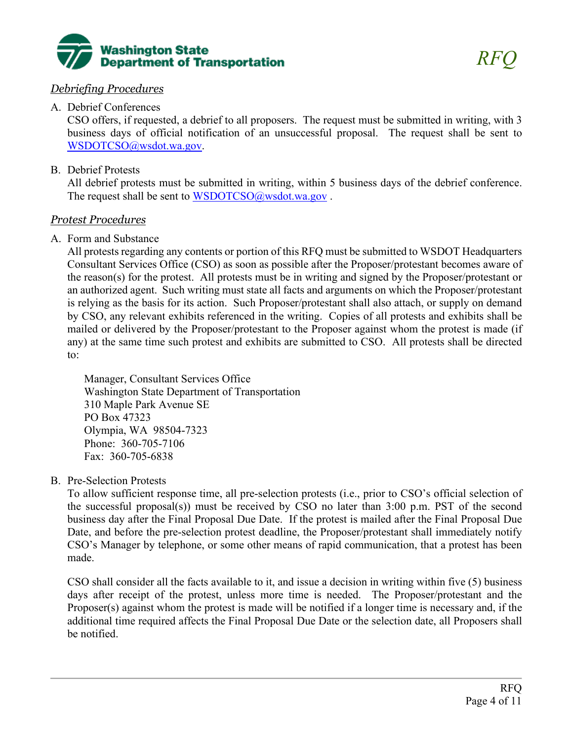

# *Debriefing Procedures*

# A. Debrief Conferences

CSO offers, if requested, a debrief to all proposers. The request must be submitted in writing, with 3 business days of official notification of an unsuccessful proposal. The request shall be sent to [WSDOTCSO@wsdot.wa.gov.](mailto:WSDOTCSO@wsdot.wa.gov)

# B. Debrief Protests

All debrief protests must be submitted in writing, within 5 business days of the debrief conference. The request shall be sent to WSDOTCSO@wsdot.wa.gov.

# *Protest Procedures*

# A. Form and Substance

All protests regarding any contents or portion of this RFQ must be submitted to WSDOT Headquarters Consultant Services Office (CSO) as soon as possible after the Proposer/protestant becomes aware of the reason(s) for the protest. All protests must be in writing and signed by the Proposer/protestant or an authorized agent. Such writing must state all facts and arguments on which the Proposer/protestant is relying as the basis for its action. Such Proposer/protestant shall also attach, or supply on demand by CSO, any relevant exhibits referenced in the writing. Copies of all protests and exhibits shall be mailed or delivered by the Proposer/protestant to the Proposer against whom the protest is made (if any) at the same time such protest and exhibits are submitted to CSO. All protests shall be directed to:

Manager, Consultant Services Office Washington State Department of Transportation 310 Maple Park Avenue SE PO Box 47323 Olympia, WA 98504-7323 Phone: 360-705-7106 Fax: 360-705-6838

# B. Pre-Selection Protests

To allow sufficient response time, all pre-selection protests (i.e., prior to CSO's official selection of the successful proposal(s)) must be received by CSO no later than 3:00 p.m. PST of the second business day after the Final Proposal Due Date. If the protest is mailed after the Final Proposal Due Date, and before the pre-selection protest deadline, the Proposer/protestant shall immediately notify CSO's Manager by telephone, or some other means of rapid communication, that a protest has been made.

CSO shall consider all the facts available to it, and issue a decision in writing within five (5) business days after receipt of the protest, unless more time is needed. The Proposer/protestant and the Proposer(s) against whom the protest is made will be notified if a longer time is necessary and, if the additional time required affects the Final Proposal Due Date or the selection date, all Proposers shall be notified.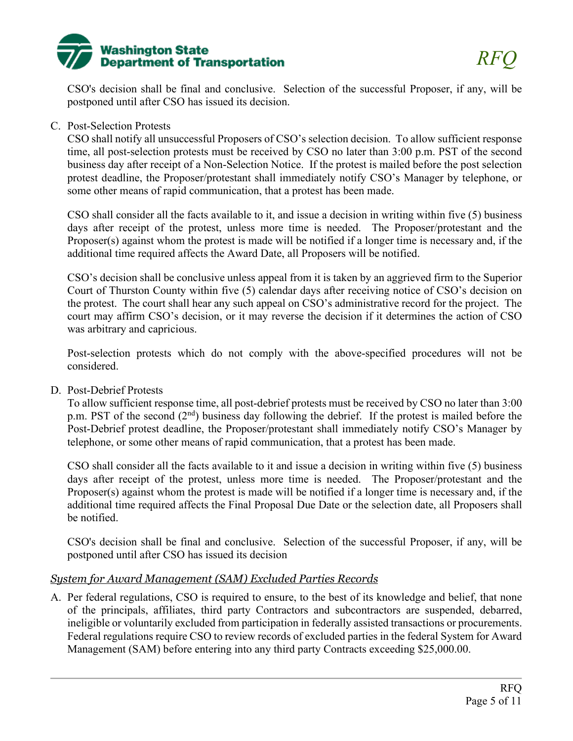

CSO's decision shall be final and conclusive. Selection of the successful Proposer, if any, will be postponed until after CSO has issued its decision.

#### C. Post-Selection Protests

CSO shall notify all unsuccessful Proposers of CSO's selection decision. To allow sufficient response time, all post-selection protests must be received by CSO no later than 3:00 p.m. PST of the second business day after receipt of a Non-Selection Notice. If the protest is mailed before the post selection protest deadline, the Proposer/protestant shall immediately notify CSO's Manager by telephone, or some other means of rapid communication, that a protest has been made.

CSO shall consider all the facts available to it, and issue a decision in writing within five (5) business days after receipt of the protest, unless more time is needed. The Proposer/protestant and the Proposer(s) against whom the protest is made will be notified if a longer time is necessary and, if the additional time required affects the Award Date, all Proposers will be notified.

CSO's decision shall be conclusive unless appeal from it is taken by an aggrieved firm to the Superior Court of Thurston County within five (5) calendar days after receiving notice of CSO's decision on the protest. The court shall hear any such appeal on CSO's administrative record for the project. The court may affirm CSO's decision, or it may reverse the decision if it determines the action of CSO was arbitrary and capricious.

Post-selection protests which do not comply with the above-specified procedures will not be considered.

D. Post-Debrief Protests

To allow sufficient response time, all post-debrief protests must be received by CSO no later than 3:00 p.m. PST of the second  $(2<sup>nd</sup>)$  business day following the debrief. If the protest is mailed before the Post-Debrief protest deadline, the Proposer/protestant shall immediately notify CSO's Manager by telephone, or some other means of rapid communication, that a protest has been made.

CSO shall consider all the facts available to it and issue a decision in writing within five (5) business days after receipt of the protest, unless more time is needed. The Proposer/protestant and the Proposer(s) against whom the protest is made will be notified if a longer time is necessary and, if the additional time required affects the Final Proposal Due Date or the selection date, all Proposers shall be notified.

CSO's decision shall be final and conclusive. Selection of the successful Proposer, if any, will be postponed until after CSO has issued its decision

#### *System for Award Management (SAM) Excluded Parties Records*

A. Per federal regulations, CSO is required to ensure, to the best of its knowledge and belief, that none of the principals, affiliates, third party Contractors and subcontractors are suspended, debarred, ineligible or voluntarily excluded from participation in federally assisted transactions or procurements. Federal regulations require CSO to review records of excluded parties in the federal System for Award Management (SAM) before entering into any third party Contracts exceeding \$25,000.00.

*RFQ*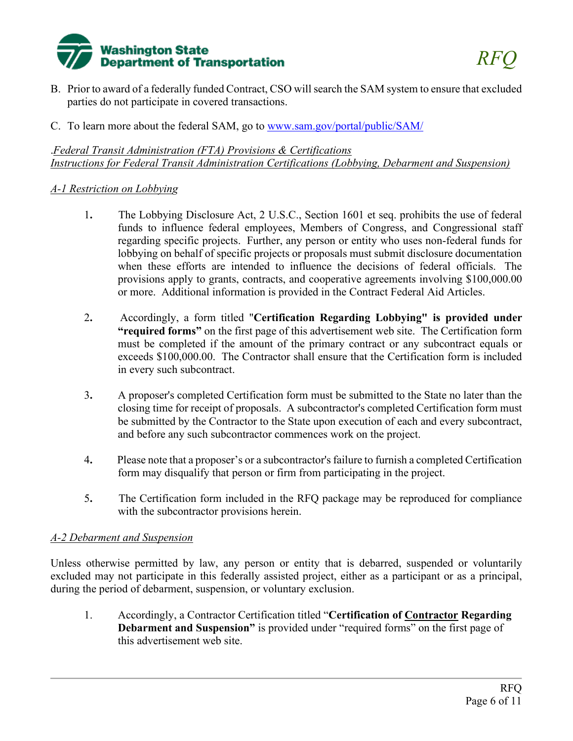

- B. Prior to award of a federally funded Contract, CSO will search the SAM system to ensure that excluded parties do not participate in covered transactions.
- C. To learn more about the federal SAM, go to [www.sam.gov/portal/public/SAM/](http://www.sam.gov/portal/public/SAM/)

.*Federal Transit Administration (FTA) Provisions & Certifications Instructions for Federal Transit Administration Certifications (Lobbying, Debarment and Suspension)*

# *A-1 Restriction on Lobbying*

- 1**.** The Lobbying Disclosure Act, 2 U.S.C., Section 1601 et seq. prohibits the use of federal funds to influence federal employees, Members of Congress, and Congressional staff regarding specific projects. Further, any person or entity who uses non-federal funds for lobbying on behalf of specific projects or proposals must submit disclosure documentation when these efforts are intended to influence the decisions of federal officials. The provisions apply to grants, contracts, and cooperative agreements involving \$100,000.00 or more. Additional information is provided in the Contract Federal Aid Articles.
- 2**.** Accordingly, a form titled "**Certification Regarding Lobbying" is provided under "required forms"** on the first page of this advertisement web site. The Certification form must be completed if the amount of the primary contract or any subcontract equals or exceeds \$100,000.00. The Contractor shall ensure that the Certification form is included in every such subcontract.
- 3**.** A proposer's completed Certification form must be submitted to the State no later than the closing time for receipt of proposals. A subcontractor's completed Certification form must be submitted by the Contractor to the State upon execution of each and every subcontract, and before any such subcontractor commences work on the project.
- 4**.** Please note that a proposer's or a subcontractor's failure to furnish a completed Certification form may disqualify that person or firm from participating in the project.
- 5**.** The Certification form included in the RFQ package may be reproduced for compliance with the subcontractor provisions herein.

# *A-2 Debarment and Suspension*

Unless otherwise permitted by law, any person or entity that is debarred, suspended or voluntarily excluded may not participate in this federally assisted project, either as a participant or as a principal, during the period of debarment, suspension, or voluntary exclusion.

1. Accordingly, a Contractor Certification titled "**Certification of Contractor Regarding Debarment and Suspension"** is provided under "required forms" on the first page of this advertisement web site.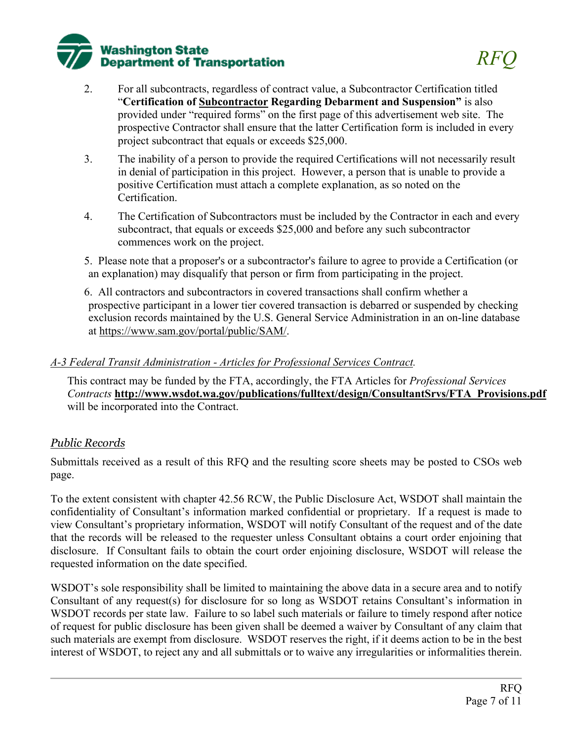

- 2. For all subcontracts, regardless of contract value, a Subcontractor Certification titled "**Certification of Subcontractor Regarding Debarment and Suspension"** is also provided under "required forms" on the first page of this advertisement web site. The prospective Contractor shall ensure that the latter Certification form is included in every project subcontract that equals or exceeds \$25,000.
- 3. The inability of a person to provide the required Certifications will not necessarily result in denial of participation in this project. However, a person that is unable to provide a positive Certification must attach a complete explanation, as so noted on the Certification.
- 4. The Certification of Subcontractors must be included by the Contractor in each and every subcontract, that equals or exceeds \$25,000 and before any such subcontractor commences work on the project.

5. Please note that a proposer's or a subcontractor's failure to agree to provide a Certification (or an explanation) may disqualify that person or firm from participating in the project.

6. All contractors and subcontractors in covered transactions shall confirm whether a prospective participant in a lower tier covered transaction is debarred or suspended by checking exclusion records maintained by the U.S. General Service Administration in an on-line database at [https://www.sam.gov/portal/public/SAM/.](https://www.sam.gov/portal/public/SAM/)

#### *A-3 Federal Transit Administration - Articles for Professional Services Contract.*

This contract may be funded by the FTA, accordingly, the FTA Articles for *Professional Services Contracts* **[http://www.wsdot.wa.gov/publications/fulltext/design/ConsultantSrvs/FTA\\_Provisions.pdf](http://www.wsdot.wa.gov/publications/fulltext/design/ConsultantSrvs/FTA_Provisions.pdf)** will be incorporated into the Contract.

# *Public Records*

Submittals received as a result of this RFQ and the resulting score sheets may be posted to CSOs web page.

To the extent consistent with chapter 42.56 RCW, the Public Disclosure Act, WSDOT shall maintain the confidentiality of Consultant's information marked confidential or proprietary. If a request is made to view Consultant's proprietary information, WSDOT will notify Consultant of the request and of the date that the records will be released to the requester unless Consultant obtains a court order enjoining that disclosure. If Consultant fails to obtain the court order enjoining disclosure, WSDOT will release the requested information on the date specified.

WSDOT's sole responsibility shall be limited to maintaining the above data in a secure area and to notify Consultant of any request(s) for disclosure for so long as WSDOT retains Consultant's information in WSDOT records per state law. Failure to so label such materials or failure to timely respond after notice of request for public disclosure has been given shall be deemed a waiver by Consultant of any claim that such materials are exempt from disclosure. WSDOT reserves the right, if it deems action to be in the best interest of WSDOT, to reject any and all submittals or to waive any irregularities or informalities therein.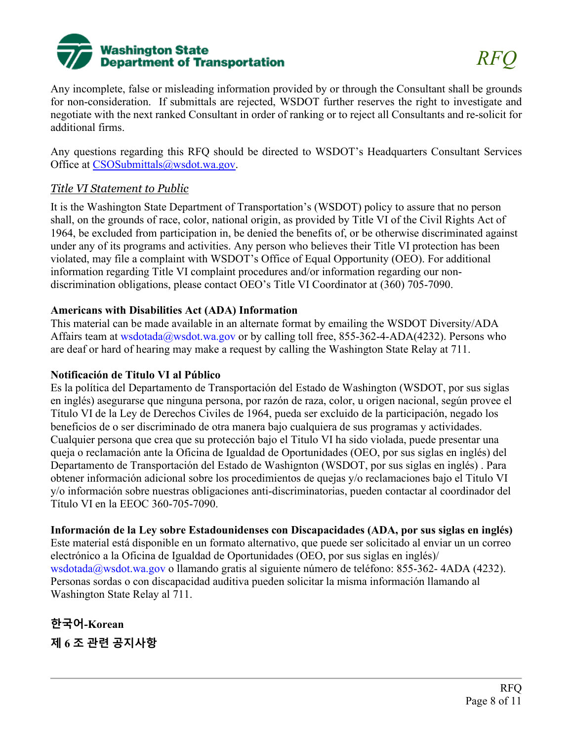

Any incomplete, false or misleading information provided by or through the Consultant shall be grounds for non-consideration. If submittals are rejected, WSDOT further reserves the right to investigate and negotiate with the next ranked Consultant in order of ranking or to reject all Consultants and re-solicit for additional firms.

Any questions regarding this RFQ should be directed to WSDOT's Headquarters Consultant Services Office at [CSOSubmittals@wsdot.wa.gov.](mailto:CSOSubmittals@wsdot.wa.gov)

# *Title VI Statement to Public*

It is the Washington State Department of Transportation's (WSDOT) policy to assure that no person shall, on the grounds of race, color, national origin, as provided by Title VI of the Civil Rights Act of 1964, be excluded from participation in, be denied the benefits of, or be otherwise discriminated against under any of its programs and activities. Any person who believes their Title VI protection has been violated, may file a complaint with WSDOT's Office of Equal Opportunity (OEO). For additional information regarding Title VI complaint procedures and/or information regarding our nondiscrimination obligations, please contact OEO's Title VI Coordinator at (360) 705-7090.

# **Americans with Disabilities Act (ADA) Information**

This material can be made available in an alternate format by emailing the WSDOT Diversity/ADA Affairs team at wsdotada@wsdot.wa.gov or by calling toll free, 855-362-4-ADA(4232). Persons who are deaf or hard of hearing may make a request by calling the Washington State Relay at 711.

### **Notificación de Titulo VI al Público**

Es la política del Departamento de Transportación del Estado de Washington (WSDOT, por sus siglas en inglés) asegurarse que ninguna persona, por razón de raza, color, u origen nacional, según provee el Título VI de la Ley de Derechos Civiles de 1964, pueda ser excluido de la participación, negado los beneficios de o ser discriminado de otra manera bajo cualquiera de sus programas y actividades. Cualquier persona que crea que su protección bajo el Titulo VI ha sido violada, puede presentar una queja o reclamación ante la Oficina de Igualdad de Oportunidades (OEO, por sus siglas en inglés) del Departamento de Transportación del Estado de Washignton (WSDOT, por sus siglas en inglés) . Para obtener información adicional sobre los procedimientos de quejas y/o reclamaciones bajo el Titulo VI y/o información sobre nuestras obligaciones anti-discriminatorias, pueden contactar al coordinador del Título VI en la EEOC 360-705-7090.

**Información de la Ley sobre Estadounidenses con Discapacidades (ADA, por sus siglas en inglés)** Este material está disponible en un formato alternativo, que puede ser solicitado al enviar un un correo

electrónico a la Oficina de Igualdad de Oportunidades (OEO, por sus siglas en inglés)/ wsdotada@wsdot.wa.gov o llamando gratis al siguiente número de teléfono: 855-362- 4ADA (4232). Personas sordas o con discapacidad auditiva pueden solicitar la misma información llamando al Washington State Relay al 711.

**한국어-Korean 제 6 조 관련 공지사항**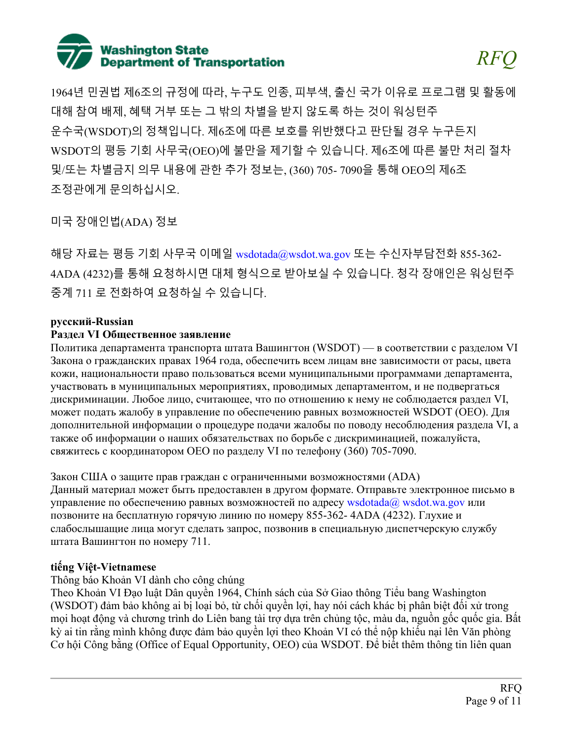

1964년 민권법 제6조의 규정에 따라, 누구도 인종, 피부색, 출신 국가 이유로 프로그램 및 활동에 대해 참여 배제, 혜택 거부 또는 그 밖의 차별을 받지 않도록 하는 것이 워싱턴주 운수국(WSDOT)의 정책입니다. 제6조에 따른 보호를 위반했다고 판단될 경우 누구든지 WSDOT의 평등 기회 사무국(OEO)에 불만을 제기할 수 있습니다. 제6조에 따른 불만 처리 절차 및/또는 차별금지 의무 내용에 관한 추가 정보는, (360) 705- 7090을 통해 OEO의 제6조 조정관에게 문의하십시오.

미국 장애인법(ADA) 정보

해당 자료는 평등 기회 사무국 이메일 wsdotada@wsdot.wa.gov 또는 수신자부담전화 855-362- 4ADA (4232)를 통해 요청하시면 대체 형식으로 받아보실 수 있습니다. 청각 장애인은 워싱턴주 중계 711 로 전화하여 요청하실 수 있습니다.

#### **русский-Russian**

#### **Раздел VI Общественное заявление**

Политика департамента транспорта штата Вашингтон (WSDOT) — в соответствии с разделом VI Закона о гражданских правах 1964 года, обеспечить всем лицам вне зависимости от расы, цвета кожи, национальности право пользоваться всеми муниципальными программами департамента, участвовать в муниципальных мероприятиях, проводимых департаментом, и не подвергаться дискриминации. Любое лицо, считающее, что по отношению к нему не соблюдается раздел VI, может подать жалобу в управление по обеспечению равных возможностей WSDOT (OEO). Для дополнительной информации о процедуре подачи жалобы по поводу несоблюдения раздела VI, а также об информации о наших обязательствах по борьбе с дискриминацией, пожалуйста, свяжитесь с координатором OEO по разделу VI по телефону (360) 705-7090.

Закон США о защите прав граждан с ограниченными возможностями (ADA) Данный материал может быть предоставлен в другом формате. Отправьте электронное письмо в управление по обеспечению равных возможностей по адресу wsdotada $(a)$  wsdot.wa.gov или позвоните на бесплатную горячую линию по номеру 855-362- 4ADA (4232). Глухие и слабослышащие лица могут сделать запрос, позвонив в специальную диспетчерскую службу штата Вашингтон по номеру 711.

# **tiếng Việt-Vietnamese**

Thông báo Khoản VI dành cho công chúng

Theo Khoản VI Đạo luật Dân quyền 1964, Chính sách của Sở Giao thông Tiểu bang Washington (WSDOT) đảm bảo không ai bị loại bỏ, từ chối quyền lợi, hay nói cách khác bị phân biệt đối xử trong mọi hoạt động và chương trình do Liên bang tài trợ dựa trên chủng tộc, màu da, nguồn gốc quốc gia. Bất kỳ ai tin rằng mình không được đảm bảo quyền lợi theo Khoản VI có thể nộp khiếu nại lên Văn phòng Cơ hội Công bằng (Office of Equal Opportunity, OEO) của WSDOT. Để biết thêm thông tin liên quan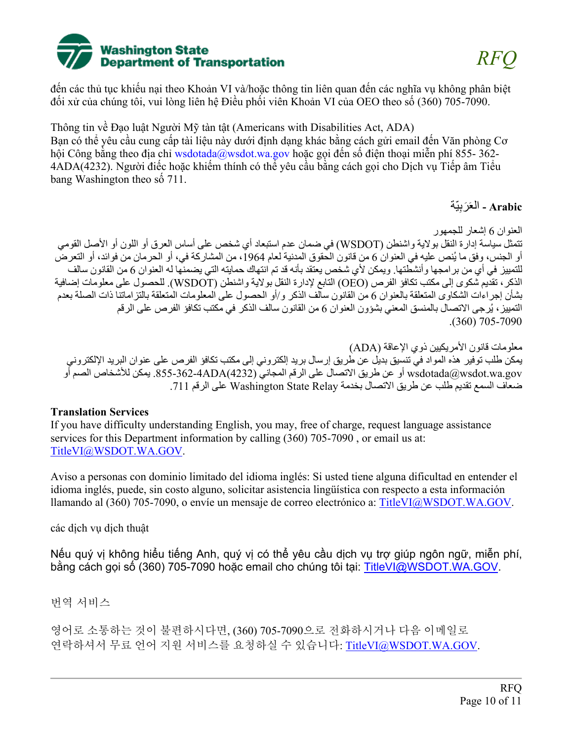

đến các thủ tục khiếu nại theo Khoản VI và/hoặc thông tin liên quan đến các nghĩa vụ không phân biệt đối xử của chúng tôi, vui lòng liên hệ Điều phối viên Khoản VI của OEO theo số (360) 705-7090.

Thông tin về Đạo luật Người Mỹ tàn tật (Americans with Disabilities Act, ADA) Bạn có thể yêu cầu cung cấp tài liệu này dưới định dạng khác bằng cách gửi email đến Văn phòng Cơ hội Công bằng theo địa chỉ wsdotada@wsdot.wa.gov hoặc gọi đến số điện thoại miễn phí 855- 362- 4ADA(4232). Người điếc hoặc khiếm thính có thể yêu cầu bằng cách gọi cho Dịch vụ Tiếp âm Tiểu bang Washington theo số 711.

Arabic - العَرَبِيَّة

العنوان 6 إشعار للجمھور تتمثل سیاسة إدارة النقل بولایة واشنطن (WSDOT (في ضمان عدم استبعاد أي شخص على أساس العرق أو اللون أو الأصل القومي أو الجنس، وفق ما يُنص عليه في العنوان 6 من قانون الحقوق المدنية لعام 1964، من المشاركة في، أو الحرمان من فوائد، أو التعرض للتمییز في أي من برامجھا وأنشطتھا. ویمكن لأي شخص یعتقد بأنھ قد تم انتھاك حمایتھ التي یضمنھا لھ العنوان 6 من القانون سالف الذكر، تقدیم شكوى إلى مكتب تكافؤ الفرص (OEO (التابع لإدارة النقل بولایة واشنطن ( WSDOT(. للحصول على معلومات إضافیة بشأن إجراءات الشكاوى المتعلقة بالعنوان 6 من القانون سالف الذكر و/أو الحصول على المعلومات المتعلقة بالتزاماتنا ذات الصلة بعدم التمييز ، يُرجى الاتصـال بالمنسق المعني بشؤون العنوان 6 من القانون سالف الذكر في مكتب تكافؤ الفرص على الرقم .(360) 705-7090

معلومات قانون الأمریكیین ذوي الإعاقة (ADA( یمكن طلب توفیر ھذه المواد في تنسیق بدیل عن طریق إرسال برید إلكتروني إلى مكتب تكافؤ الفرص على عنوان البرید الإلكتروني gov.wa.wsdot@wsdotada أو عن طریق الاتصال على الرقم المجاني (4232)ADA.855-362-4 یمكن للأشخاص الصم أو ضعاف السمع تقدیم طلب عن طریق الاتصال بخدمة Relay State Washington على الرقم 711 .

#### **Translation Services**

If you have difficulty understanding English, you may, free of charge, request language assistance services for this Department information by calling (360) 705-7090 , or email us at: [TitleVI@WSDOT.WA.GOV.](mailto:TitleVI@WSDOT.WA.GOV)

Aviso a personas con dominio limitado del idioma inglés: Si usted tiene alguna dificultad en entender el idioma inglés, puede, sin costo alguno, solicitar asistencia lingüística con respecto a esta información llamando al (360) 705-7090, o envíe un mensaje de correo electrónico a: [TitleVI@WSDOT.WA.GOV.](mailto:TitleVI@WSDOT.WA.GOV)

các dịch vụ dịch thuật

Nếu quý vị không hiểu tiếng Anh, quý vị có thể yêu cầu dịch vụ trợ giúp ngôn ngữ, miễn phí, bằng cách gọi số (360) 705-7090 hoặc email cho chúng tôi tại: [TitleVI@WSDOT.WA.GOV.](mailto:TitleVI@WSDOT.WA.GOV)

번역 서비스

영어로 소통하는 것이 불편하시다면, (360) 705-7090으로 전화하시거나 다음 이메일로 연락하셔서 무료 언어 지원 서비스를 요청하실 수 있습니다: [TitleVI@WSDOT.WA.GOV.](mailto:TitleVI@WSDOT.WA.GOV)